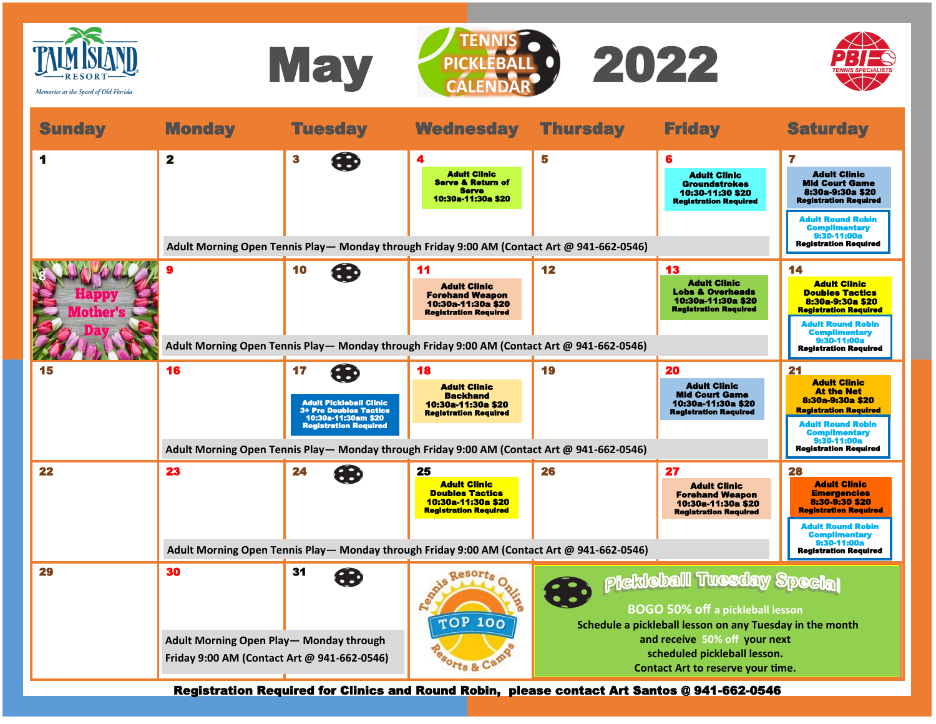

Registration Required for Clinics and Round Robin, please contact Art Santos @ 941-662-0546

**TOP 100** 

Sorts & Camp

**BOGO 50% off a pickleball lesson Schedule a pickleball lesson on any Tuesday in the month and receive 50% off your next scheduled pickleball lesson. Contact Art to reserve your time.**

**Adult Morning Open Play— Monday through Friday 9:00 AM (Contact Art @ 941-662-0546)**